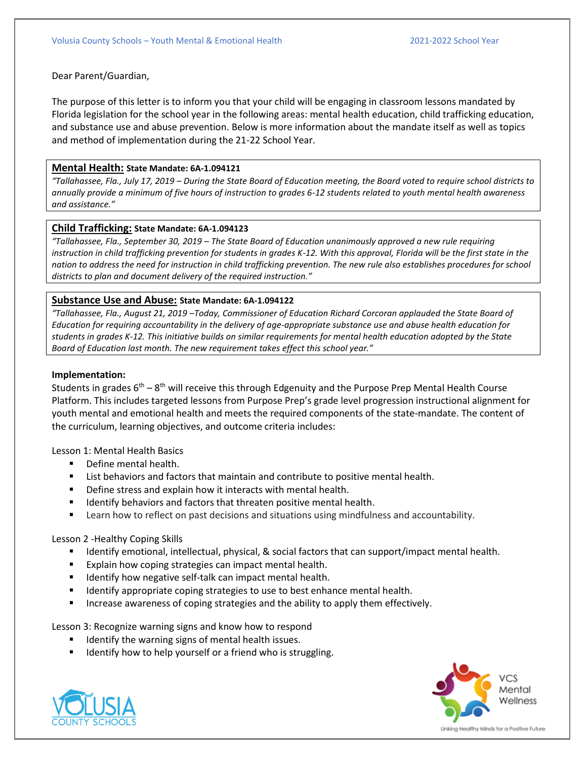Dear Parent/Guardian,

The purpose of this letter is to inform you that your child will be engaging in classroom lessons mandated by Florida legislation for the school year in the following areas: mental health education, child trafficking education, and substance use and abuse prevention. Below is more information about the mandate itself as well as topics and method of implementation during the 21-22 School Year.

### **Mental Health: State Mandate: 6A-1.094121**

*"Tallahassee, Fla., July 17, 2019 – During the State Board of Education meeting, the Board voted to require school districts to annually provide a minimum of five hours of instruction to grades 6-12 students related to youth mental health awareness and assistance."* 

### **Child Trafficking: State Mandate: 6A-1.094123**

*"Tallahassee, Fla., September 30, 2019 – The State Board of Education unanimously approved a new rule requiring*  instruction in child trafficking prevention for students in grades K-12. With this approval, Florida will be the first state in the *nation to address the need for instruction in child trafficking prevention. The new rule also establishes procedures for school districts to plan and document delivery of the required instruction."* 

# **Substance Use and Abuse: State Mandate: 6A-1.094122**

*"Tallahassee, Fla., August 21, 2019 –Today, Commissioner of Education Richard Corcoran applauded the State Board of Education for requiring accountability in the delivery of age-appropriate substance use and abuse health education for students in grades K-12. This initiative builds on similar requirements for mental health education adopted by the State Board of Education last month. The new requirement takes effect this school year."* 

### **Implementation:**

Students in grades 6<sup>th</sup> – 8<sup>th</sup> will receive this through Edgenuity and the Purpose Prep Mental Health Course Platform. This includes targeted lessons from Purpose Prep's grade level progression instructional alignment for youth mental and emotional health and meets the required components of the state-mandate. The content of the curriculum, learning objectives, and outcome criteria includes:

Lesson 1: Mental Health Basics

- Define mental health.
- List behaviors and factors that maintain and contribute to positive mental health.
- Define stress and explain how it interacts with mental health.
- Identify behaviors and factors that threaten positive mental health.
- Learn how to reflect on past decisions and situations using mindfulness and accountability.

# Lesson 2 -Healthy Coping Skills

- Identify emotional, intellectual, physical, & social factors that can support/impact mental health.
- Explain how coping strategies can impact mental health.
- Identify how negative self-talk can impact mental health.
- Identify appropriate coping strategies to use to best enhance mental health.
- Increase awareness of coping strategies and the ability to apply them effectively.

Lesson 3: Recognize warning signs and know how to respond

- Identify the warning signs of mental health issues.
- Identify how to help yourself or a friend who is struggling.





Linking Healthy Minds for a Positive Future